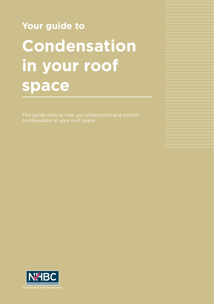# **Your guide to Condensation in your roof space**

condensation in your roof space.

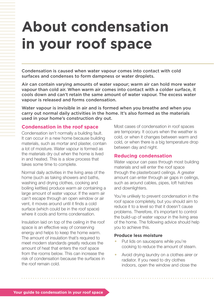## **About condensation in your roof space**

Condensation is caused when water vapour comes into contact with cold surfaces and condenses to form dampness or water droplets.

Air can contain varying amounts of water vapour; warm air can hold more water vapour than cold air. When warm air comes into contact with a colder surface, it cools down and can't retain the same amount of water vapour. The excess water vapour is released and forms condensation.

Water vapour is invisible in air and is formed when you breathe and when you carry out normal daily activities in the home. It's also formed as the materials used in your home's construction dry out.

#### **Condensation in the roof space**

Condensation isn't normally a building fault. It can occur in a new home because building materials, such as mortar and plaster, contain a lot of moisture. Water vapour is formed as the materials dry out when the home is lived in and heated. This is a slow process that takes some time to complete.

Normal daily activities in the living area of the home (such as taking showers and baths, washing and drying clothes, cooking and boiling kettles) produce warm air containing a large amount of water vapour. If the warm air can't escape through an open window or air vent, it moves around until it finds a cold surface (which could be in the roof space) where it cools and forms condensation.

Insulation laid on top of the ceiling in the roof space is an effective way of conserving energy and helps to keep the home warm. The amount of insulation that's required to meet modern standards greatly reduces the amount of heat that enters the roof space from the rooms below. This can increase the risk of condensation because the surfaces in the roof remain cold.

Most cases of condensation in roof spaces are temporary. It occurs when the weather is cold, or when it changes between warm and cold, or when there is a big temperature drop between day and night.

#### **Reducing condensation**

Water vapour can pass through most building materials and will enter the roof space through the plasterboard ceilings. A greater amount can enter through air gaps in ceilings, such as around cables, pipes, loft hatches and downlighters.

You're unlikely to prevent condensation in the roof space completely, but you should aim to reduce it to a level so that it doesn't cause problems. Therefore, it's important to control the build-up of water vapour in the living area of the home. The following advice should help you to achieve this.

#### **Produce less moisture**

- Put lids on saucepans while you're cooking to reduce the amount of steam.
- Avoid drying laundry on a clothes airer or radiator. If you need to dry clothes indoors, open the window and close the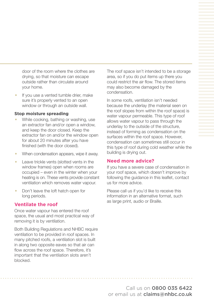door of the room where the clothes are drying, so that moisture can escape outside rather than circulate around your home.

If you use a vented tumble drier, make sure it's properly vented to an open window or through an outside wall.

#### **Stop moisture spreading**

- While cooking, bathing or washing, use an extractor fan and/or open a window, and keep the door closed. Keep the extractor fan on and/or the window open for about 20 minutes after you have finished (with the door closed).
- When condensation appears, wipe it away.
- Leave trickle vents (slotted vents in the window frames) open when rooms are occupied – even in the winter when your heating is on. These vents provide constant ventilation which removes water vapour.
- Don't leave the loft hatch open for long periods.

#### **Ventilate the roof**

Once water vapour has entered the roof space, the usual and most practical way of removing it is by ventilation.

Both Building Regulations and NHBC require ventilation to be provided in roof spaces. In many pitched roofs, a ventilation slot is built in along two opposite eaves so that air can flow across the roof space. Therefore, it's important that the ventilation slots aren't blocked.

The roof space isn't intended to be a storage area, so if you do put items up there you could restrict the air flow. The stored items may also become damaged by the condensation.

In some roofs, ventilation isn't needed because the underlay (the material seen on the roof slopes from within the roof space) is water vapour permeable. This type of roof allows water vapour to pass through the underlay to the outside of the structure, instead of forming as condensation on the surfaces within the roof space. However, condensation can sometimes still occur in this type of roof during cold weather while the building is drying out.

#### **Need more advice?**

If you have a severe case of condensation in your roof space, which doesn't improve by following the guidance in this leaflet, contact us for more advice.

Please call us if you'd like to receive this information in an alternative format, such as large print, audio or Braille.